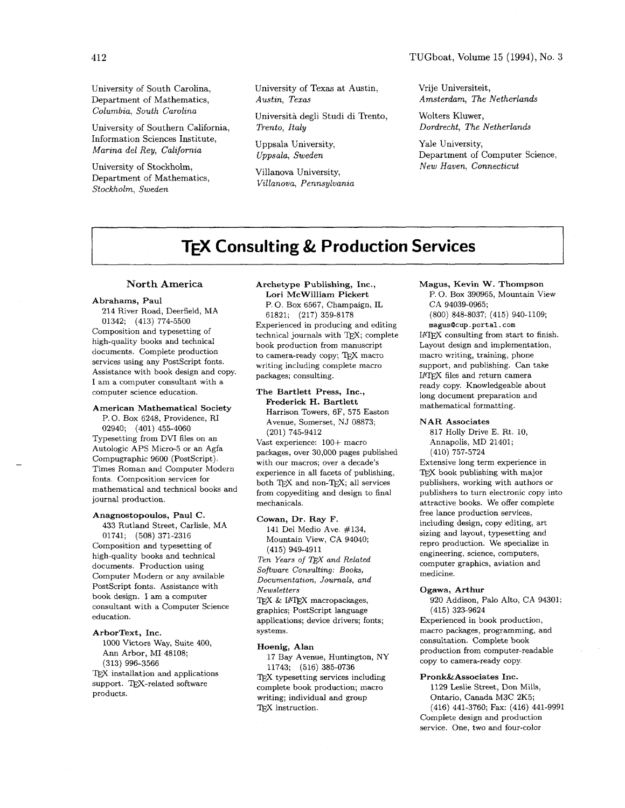TUGboat, Volume 15 (1994), No. **3** 

Department of Mathematics, Austin, Texas Columbia, South Carolina Universita degli Studi di Trento, Wolters Kluwer ,

Information Sciences Institute,<br>
Uppsala University, Marina del Rey, California

University of Stockholm, Villanova University, Department of Mathematics,<br>Villanova, Pennsylvania Stockholm, Sweden

University of South Carolina, University of Texas at Austin, Vrije Universiteit, Christender Australian, Theorem Amsterdam, The Netherlands

University of Southern California. Trento, Italy **Dorman Constanting Constanting Constanting Constanting Constanting Constanting Constanting Constanting Constanting Constanting Constanting Constanting Constanting Constanti** 

Uppsala, Sweden

Yale University, Department of Computer Science, New Haven, Connecticut

### **TEX Consulting** & **Production Services**

#### **North America**

#### Abrahams, Paul

214 River Road, Deerfield, MA 01342; (413) 774-5500 Composition and typesetting of high-quality books and technical documents. Complete production services using any PostScript fonts. Assistance with book design and copy. I am a computer consultant with a computer science education.

#### American Mathematical Society

P. 0. Box 6248, Providence, RI 02940; (401) 455-4060 Typesetting from DVI files on an Autologic APS Micro-5 or an Agfa Compugraphic 9600 (PostScript). Times Roman and Computer Modern fonts. Composition services for mathematical and technical books and journal production.

#### Anagnostopoulos, Paul C.

433 Rutland Street, Carlisle, MA 01741; (508) 371-2316 Composition and typesetting of high-quality books and technical documents. Production using Computer Modern or any available PostScript fonts. Assistance with book design. I am a computer consultant with a Computer Science education.

#### ArborText, Inc.

1000 Victors Way, Suite 400, Ann Arbor, MI 48108; (313) 996-3566 'QX installation and applications support. TEX-related software products.

### Archetype Publishing, Inc.,

Lori McWilliam Pickert P. 0. Box 6567, Champaign, IL 61821; (217) 359-8178 Experienced in producing and editing technical journals with TFX; complete book production from manuscript to camera-ready copy; TEX macro writing including complete macro packages; consulting.

#### The Bartlett Press, Inc.,

Rederick H. Bartlett Harrison Towers, 6F, 575 Easton Avenue, Somerset, NJ 08873; (201) 745-9412

Vast experience: 100+ macro packages, over 30,000 pages published with our macros; over a decade's experience in all facets of publishing, both TFX and non-TFX; all services from copyediting and design to final mechanicals.

#### Cowan, Dr. Ray F.

141 Del Medio Ave. #134, Mountain View, CA 94040; **(4** 15) 949-49 11 Ten Years of *ljjX* and Related Software Consulting: Books, Documentation, Journals, and

Newsletters TEX & IATEX macropackages, graphics; PostScript language applications; device drivers; fonts; systems.

#### Hoenig, Alan

17 Bay Avenue, Huntington, NY 11743; (516) 385-0736 TEX typesetting services including complete book production; macro writing; individual and group TEX instruction.

Magus, Kevin W. Thompson P. 0. Box 390965, Mountain View CA 94039-0965; (800) 848-8037; (415) 940-1109;

magus@cup.portal.com

IATFX consulting from start to finish. Layout design and implementation, macro writing, training, phone support, and publishing. Can take LATFX files and return camera ready copy. Knowledgeable about long document preparation and mathematical formatting.

#### NAR Associates

817 Holly Drive E. Rt. 10, Annapolis, MD 21401; (410) 757-5724

Extensive long term experience in T<sub>RX</sub> book publishing with major publishers, working with authors or publishers to turn electronic copy into attractive books. We offer complete free lance production services, including design, copy editing, art sizing and layout, typesetting and repro production. We specialize in engineering, science, computers, computer graphics, aviation and medicine.

#### Ogawa, Arthur

920 Addison, Palo Alto, CA 94301; (415) 323-9624

Experienced in book production, macro packages, programming, and consultation. Complete book production from computer-readable copy to camera-ready copy.

#### Pronk&Associates Inc.

1129 Leslie Street, Don Mills, Ontario, Canada M3C 2K5; (416) 441-3760; Fax: (416) 441-9991 Complete design and production service. One, two and four-color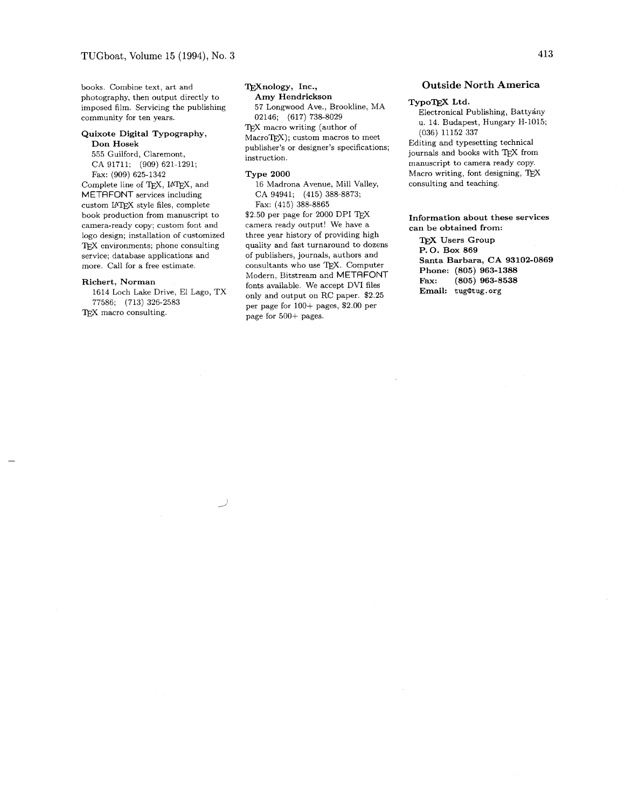books. Combine text, art and photography, then output directly to imposed film. Servicing the publishing community for ten years.

#### **Quixote Digital Typography, Don Hosek**

555 Guilford, Claremont, CA 91711; (909) 621-1291; Fax: (909) 625-1342 Complete line of TEX, IATEX, and

METAFONT services including custom IATFX style files, complete book production from manuscript to camera-ready copy; custom font and logo design; installation of customized TFX environments; phone consulting service; database applications and more. Call for a free estimate.

#### **Richert, Norman**

1614 Loch Lake Drive, El Lago, TX 77586; (713) 326-2583 TEX macro consulting.

#### TrXnology, Inc.,

**Amy Hendrickson**  57 Longwood Ave., Brookline, MA 02146; (617) 738-8029 TEX macro writing (author of MacroTFX); custom macros to meet

publisher's or designer's specifications; instruction.

#### **Type 2000**

16 Madrona Avenue, Mill Valley, CA 94941; (415) 388-8873; Fax: (415) 388-8865

 $$2.50$  per page for 2000 DPI TEX camera ready output! We have a three year history of providing high quality and fast turnaround to dozens of publishers, journals, authors and consultants who use TEX. Computer Modern, Bitstream and METAFONT fonts available. We accept DVI files only and output on RC paper. \$2.25 per page for 100+ pages, \$2.00 per page for 500+ pages.

#### **Outside North America**

#### **TypoQjX Ltd.**

Electronical Publishing, Battyany u. 14. Budapest, Hungary H-1015; (036) 11152 337 Editing and typesetting technical journals and books with TEX from manuscript to camera ready copy. Macro writing, font designing, TEX consulting and teaching.

**Information about these services can be obtained from:** 

**TFX Users Group P. 0. Box 869 Santa Barbara, CA 93102-0869 Phone: (805) 963-1388 Fax: (805) 963-8538 Email: tug@tug** . **org**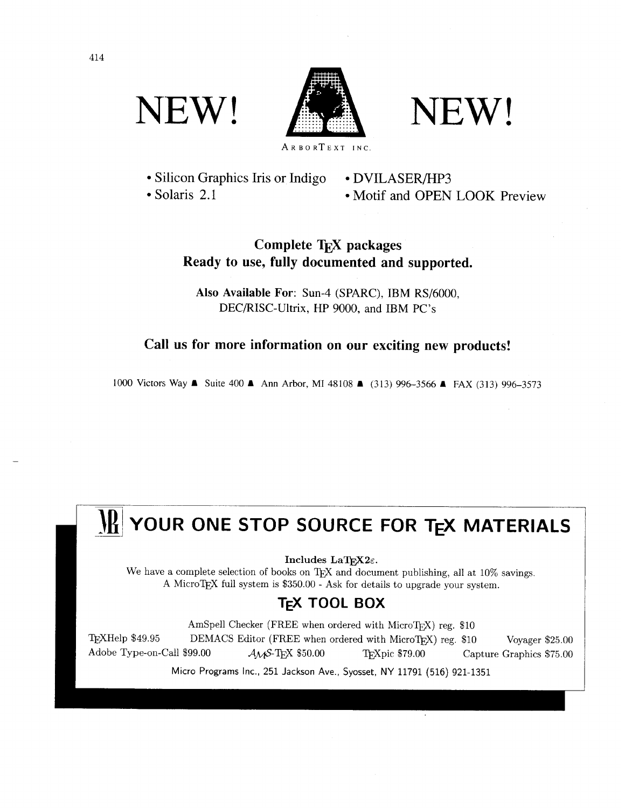NEW! A NEW!



• Silicon Graphics Iris or Indigo • DVILASER/HP3

• Solaris 2.1 Motif and OPEN LOOK Preview

### **Complete T<sub>E</sub>X packages Ready to use, fully documented and supported.**

**Also Available For:** Sun-4 (SPARC), IBM RS/6000, DEC/RISC-Ultrix, HP 9000, and IBM PC's

**Call us for more information on our exciting new products!** 

1000 Victors Way ■ Suite 400 ■ Ann Arbor, MI 48108 ■ (313) 996-3566 ■ FAX (313) 996-3573

 $Includes$  **LaT<sub>F</sub>X2** $\varepsilon$ .

We have a complete selection of books on TEX and document publishing, all at  $10\%$  savings. A MicroTEX full system is \$350.00 - Ask for details to upgrade your system.

### **TEX TOOL BOX**

**IN:** YOUR ONE STOP SOURCE FOR TEX MATERIALS<br>
Includes LaTEX2.<br>
We have a complete selection of books on TEX and document publishing, all at 10% savings.<br>
A MicroTEX full system is \$350.00 - Ask for details to upgrade your AmSpell Checker (FREE when ordered with MicroTEX) reg. \$10 TEXHelp \$49.95 DEMACS Editor (FREE when ordered with MicroTEX) reg. \$10 Voyager \$25.00 Adobe Type-on-Call \$99.00  $A_M S$ -T<sub>E</sub>X \$50.00 T<sub>F</sub>Xpic \$79.00 Capture Graphics \$75.00

Micro Programs Inc., 251 Jackson Ave., Syosset, NY 11791 (516) 921-1351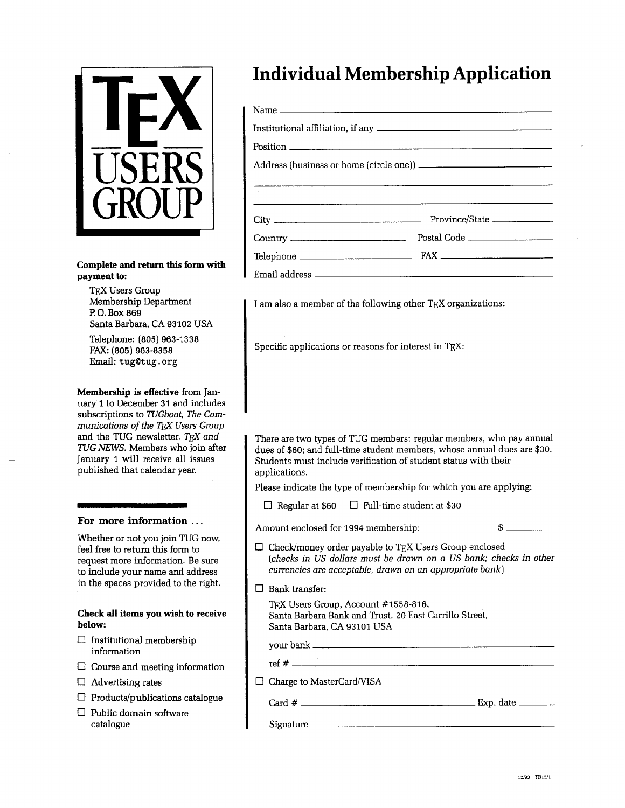

#### **Complete and return this form with**  payment to:

TEX Users Group Membership Department **l?** 0. Box 869 Santa Barbara, CA 93102 USA

Telephone: (805) 963-1338 FAX: (805) 963-8358 Email: tug@tug.org

**Membership is effective** from January **1** to December 31 and includes subscriptions to TUGboat, The Communications of the TFX Users Group and the TUG newsletter,  $TrX$  and TUG NEWS. Members who join after January 1 will receive all issues published that calendar year.

#### **For more information** . . .

Whether or not you join TUG now, feel free to return this form to request more information. Be sure to include your name and address in the spaces provided to the right.

**Check all items you wish to receive below:** 

- $\Box$  Institutional membership information
- $\square$  Course and meeting information
- $\Box$  Advertising rates
- $\Box$  Products/publications catalogue
- $\Box$  Public domain software catalogue

## **Individual Membership Application**

I am also a member of the following other TEX organizations:

Specific applications or reasons for interest in TEX:

There are two types of TUG members: regular members, who pay annual dues of \$60; and full-time student members, whose annual dues are \$30. Students must include verification of student status with their applications.

Please indicate the type of membership for which you are applying:

 $\Box$  Regular at \$60  $\Box$  Full-time student at \$30

Amount enclosed for 1994 membership:  $\$ 

- $\Box$  Check/money order payable to TEX Users Group enclosed (checks in US dollars must be drawn on a US bank; checks in other currencies are acceptable, drawn on an appropriate bank)
- Bank transfer:

 $\mathbf{l}$ 

TEX Users Group, Account #1558-816, Santa Barbara Bank and Trust, **20** East Carrillo Street, Santa Barbara, CA 93101 USA Card # Exp. date -

your bank

ref #

 $\Box$  Charge to MasterCard/VISA

Signature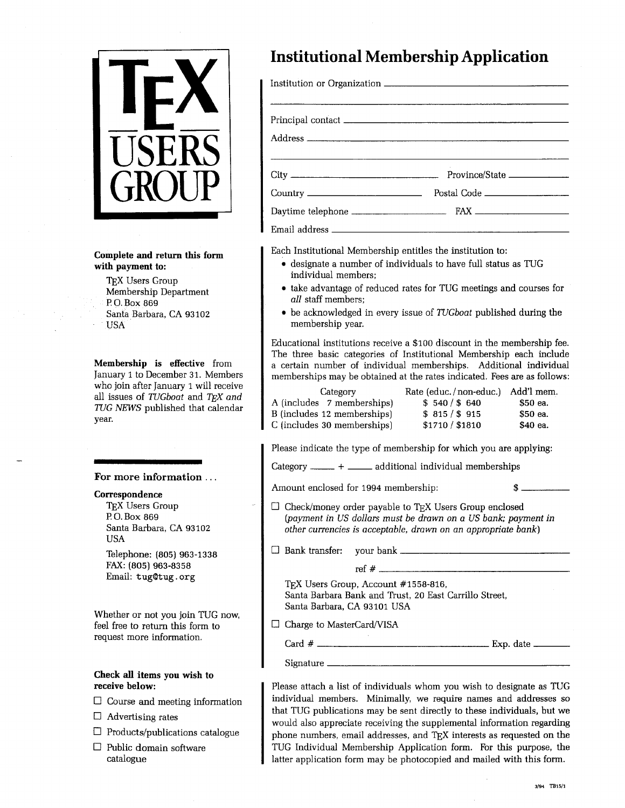

**Complete and return this form with payment to:** 

T<sub>E</sub>X Users Group Membership Department **l?** 0. Box 869 Santa Barbara, CA 93102 USA

**Membership is effective** from January 1 to December 31. Members who join after January 1 will receive all issues of *TUGboat* and *TEX and TUG NEWS* published that calendar year.

**For more information** . . .

#### **Correspondence**

TEX Users Group P.O. Box 869 Santa Barbara, CA 93102 USA

Telephone: (805) 963-1338 FAX: (805) 963-8358 Email: tug9tug. org

Whether or not you join TUG now, feel free to return this form to request more information.

#### **Check all items you wish to receive below:**

- $\Box$  Course and meeting information
- $\Box$  Advertising rates
- $\Box$  Products/publications catalogue
- $\Box$  Public domain software catalogue

### **Institutional Membership Application**

| Postal Code |
|-------------|
|             |
|             |

Each Institutional Membership entitles the institution to:

- designate a number of individuals to have full status as TUG individual members;
- take advantage of reduced rates for TUG meetings and courses for *all* staff members;
- be acknowledged in every issue of *7'UGboat* published during the membership year.

Educational institutions receive a \$100 discount in the membership fee. The three basic categories of Institutional Membership each include a certain number of individual memberships. Additional individual memberships may be obtained at the rates indicated. Fees are as follows:

| Category                                                                                                                         | Rate (educ./non-educ.) | Add'l mem. |  |  |
|----------------------------------------------------------------------------------------------------------------------------------|------------------------|------------|--|--|
| A (includes 7 memberships)                                                                                                       | \$540/\$640            | \$50 ea.   |  |  |
| B (includes 12 memberships)                                                                                                      | \$815/\$915            | \$50 ea.   |  |  |
| C (includes 30 memberships)                                                                                                      | \$1710 / \$1810        | \$40 ea.   |  |  |
| Please indicate the type of membership for which you are applying:<br>Category ______ + ______ additional individual memberships |                        |            |  |  |
| Amount enclosed for 1994 membership.                                                                                             |                        | ж          |  |  |

Amount enclosed for 1994 membership:

 $\Box$  Check/money order payable to TEX Users Group enclosed *(payment in US dollars must be drawn on a US bank; payment in other currencies is acceptable, drawn on an appropriate bank)* 

Bank transfer: your bank

ref # TEX Users Group, Account #1558-816, Santa Barbara Bank and Trust, 20 East Carrillo Street, Santa Barbara, CA 93101 USA Card # Exp. date -

 $\Box$  Charge to MasterCard/VISA

Signature

Please attach a list of individuals whom you wish to designate as TUG individual members. Minimally, we require names and addresses so that TUG publications may be sent directly to these individuals, but we would also appreciate receiving the supplemental information regarding phone numbers, email addresses, and TEX interests as requested on the TUG Individual Membership Application form. For this purpose, the latter application form may be photocopied and mailed with this form.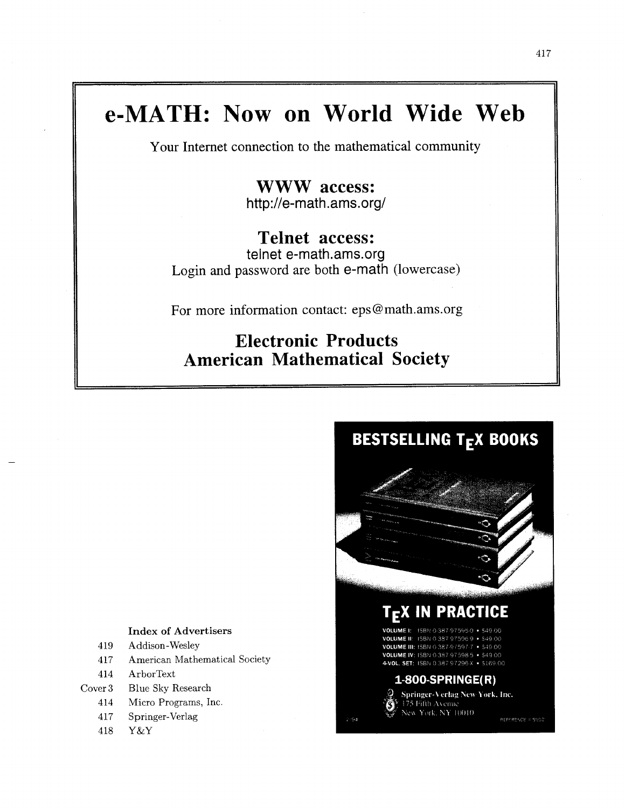## **e-MATH: Now on World Wide Web**

Your Internet connection to the mathematical community

**WWW access:**  http://e-math.ams.org/

### **Telnet access:**

telnet e-math.ams.org Login and password are both e-math (lowercase)

For more information contact: eps @math.ams.org

### **Electronic Products American Mathematical Society**



#### **Index of Advertisers**

- 419 Addison-Wesley
- 417 American Mathematical Society
- 414 ArborText
- Cover3 Blue Sky Research
	- 414 Micro Programs, Inc.
	- 417 Springer-Verlag
	- 418 Y&Y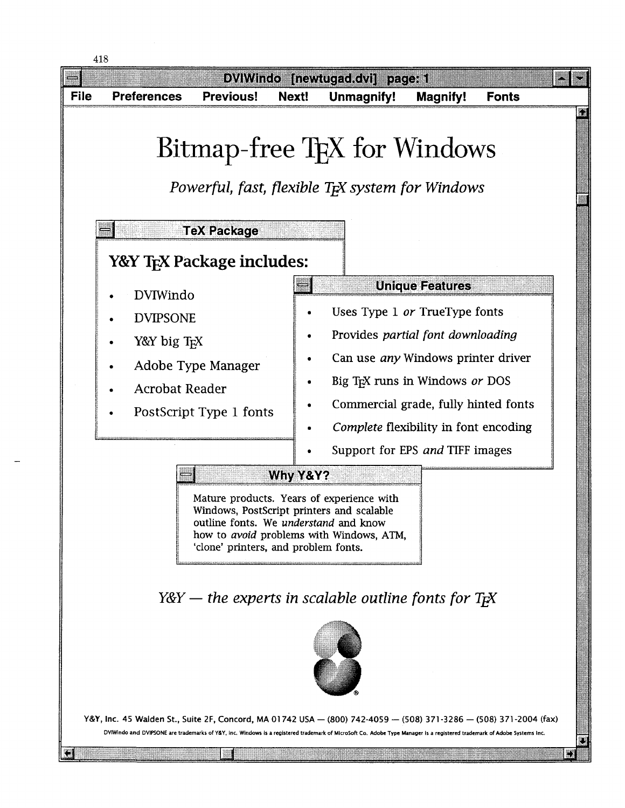

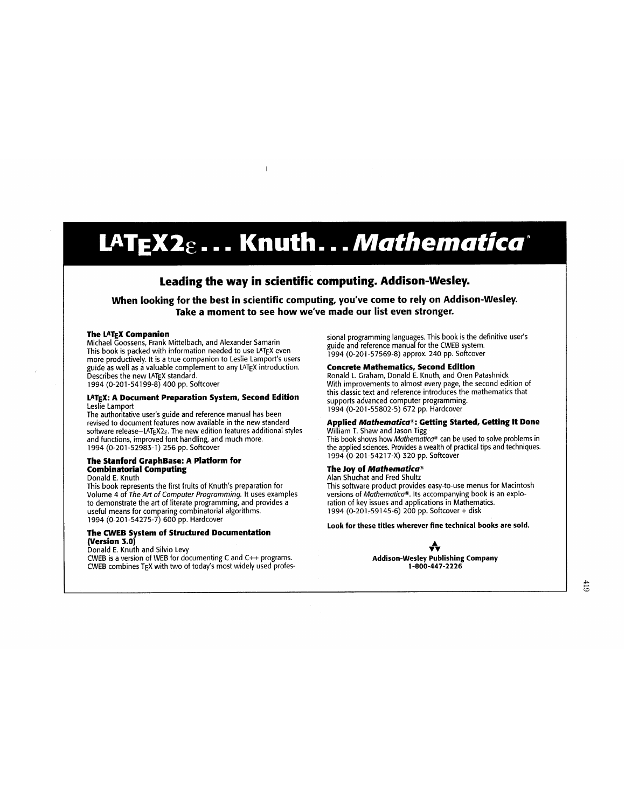# LAT<sub>E</sub>X2<sub>& -</sub> - . Knuth. . . *Mathematica*\*

#### **Leading the way in scientific computing. Addison-Wesley.**

**When looking for the best in scientific computing, you've come to rely on Addison-Wesley. Take a moment to see how we've made our list even stronger.** 

#### **The LATEX Companion**

Michael Goossens, Frank Mittelbach, and Alexander Samarin This book is packed with information needed to use LATEX even more productively. It is a true companion to Leslie Lamport's users guide as well as a valuable complement to any LATEX introduction. Describes the new LATEX standard. 1994 (0-201-54199-8) 400 pp. Softcover

#### **LATEX: A Document Preparation System, Second Edition**  Leslie Lamport

The authoritative user's guide and reference manual has been revised to document features now available in the new standard software release-LATEX2 $\varepsilon$ . The new edition features additional styles and functions, improved font handling, and much more. 1994 (0-201 -52983-1) 256 pp. Softcover

#### **The Stanford GraphBase: A Platform for Combinatorial Computing**

Donald E. Knuth

This book represents the first fruits of Knuth's preparation for Volume 4 of The Art of Computer Programming. It uses examples to demonstrate the art of literate programming, and provides a useful means for comparing combinatorial algorithms. 1994 (0-201 -54275-7) 600 pp. Hardcover

#### **The CWEB System of Structured Documentation (Version 3.0)**

Donald **E.** Knuth and Silvio Levy

CWEB is a version of WEB for documenting C and C++ programs. CWEB combines TEX with two of today's most widely used professional programming languages. This book is the definitive user's guide and reference manual for the CWEB system. 1994 (0-201 -57569-8) approx. 240 pp. Softcover

#### **Concrete Mathematics, Second Edition**

Ronald L. Graham, Donald E. Knuth, and Oren Patashnick With improvements to almost every page, the second edition of this classic text and reference introduces the mathematics that supports advanced computer programming. 1994 (0-201 -55802-5) 672 pp. Hardcover

#### **Applied** Mathematics@: **Getting Started, Getting It Done**

William T. Shaw and Jason Tigg This book shows how Mathematica<sup>®</sup> can be used to solve problems in the applied sciences. Provides a wealth of practical tips and techniques. 1994 (0-201 -5421 7-X) 320 pp. Softcover

#### **The Joy of Mathematica<sup>®</sup>**

Alan Shuchat and Fred Shultz This software product provides easy-to-use menus for Macintosh versions of Mathematica®. Its accompanying book is an exploration of key issues and applications in Mathematics. 1994 (0-201 -591 45-6) 200 pp. Softcover + disk

**Look for these titles wherever fine technical books are sold.** 



**Addison-Wesley Publishing Company 1-800-447-2226**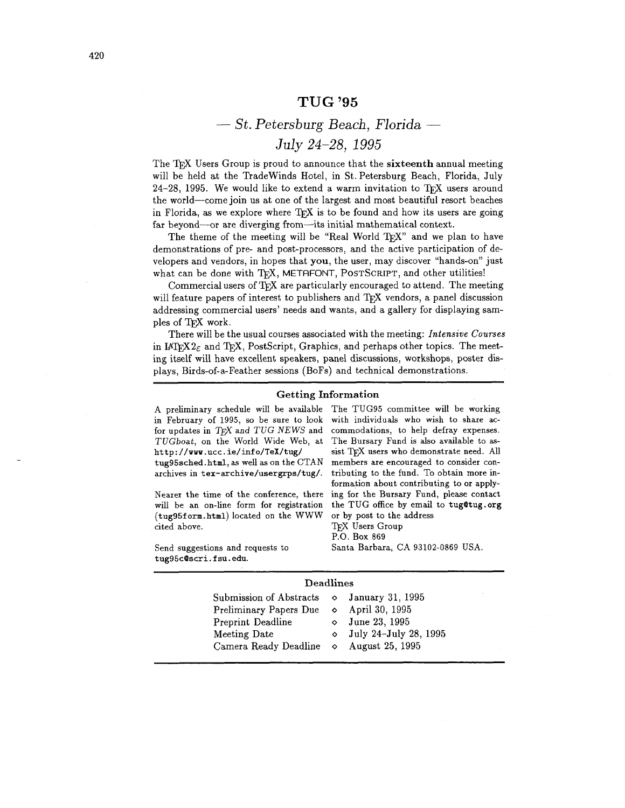#### **TUG '95**

### - *St. Petersburg Beach, Florida* - *July 24-28,* 1995

The T<sub>EX</sub> Users Group is proud to announce that the sixteenth annual meeting will be held at the Tradewinds Hotel, in St. Petersburg Beach, Florida, July 24-28, 1995. We would like to extend a warm invitation to TFX users around the world-come join us at one of the largest and most beautiful resort beaches in Florida, as we explore where T<sub>F</sub>X is to be found and how its users are going far beyond-or are diverging from-its initial mathematical context.

The theme of the meeting will be "Real World TFX" and we plan to have demonstrations of pre- and post-processors, and the active participation of developers and vendors, in hopes that you, the user, may discover "hands-on" just what can be done with TFX, METAFONT, POSTSCRIPT, and other utilities!

Commercial users of  $Tr[X]$  are particularly encouraged to attend. The meeting will feature papers of interest to publishers and TEX vendors, a panel discussion addressing commercial users' needs and wants, and a gallery for displaying samples of TFX work.

There will be the usual courses associated with the meeting: **Intensive Courses**  in IAT<sub>EX</sub> $2\varepsilon$  and T<sub>E</sub>X, PostScript, Graphics, and perhaps other topics. The meeting itself will have excellent speakers, panel discussions, workshops, poster displays, Birds-of-a-Feather sessions (BoFs) and technical demonstrations.

#### Getting Information

**A** preliminary schedule will be available The TUG95 committee will be working in February of 1995, so be sure to look

(tug95f orm.htm1) located on the WWW or by post to the address cited above. TRX Users Group

tug95c0scri.fsu.edu.

for updates in  $T_F X$  and  $TUG$  NEWS and commodations, to help defray expenses. TUGboat, on the World Wide Web, at The Bursary Fund is also available to **ashttp://www.ucc.ie/info/TeX/tug/** sist TEX users who demonstrate need. **All**  tug95sched.html, as well as on the CTAN members are encouraged to consider conarchives in **tex-archive/usergrps/tug/.** tributing to the fund. To obtain more information about contributing to or apply-Nearer the time of the conference, there ing for the Bursary Fund, please contact will be an on-line form for registration the TUG office by email to tug@tug.org P.O. Box 869 Send suggestions and requests to Santa Barbara, CA 93102-0869 USA.

#### Deadlines

| Submission of Abstracts $\Diamond$ January 31, 1995<br>Preliminary Papers Due $\diamond$ April 30, 1995<br>Preprint Deadline<br>Meeting Date<br>Camera Ready Deadline $\circ$ August 25, 1995 |  | $\circ$ June 23, 1995<br>$\circ$ July 24-July 28, 1995 |
|-----------------------------------------------------------------------------------------------------------------------------------------------------------------------------------------------|--|--------------------------------------------------------|
|-----------------------------------------------------------------------------------------------------------------------------------------------------------------------------------------------|--|--------------------------------------------------------|